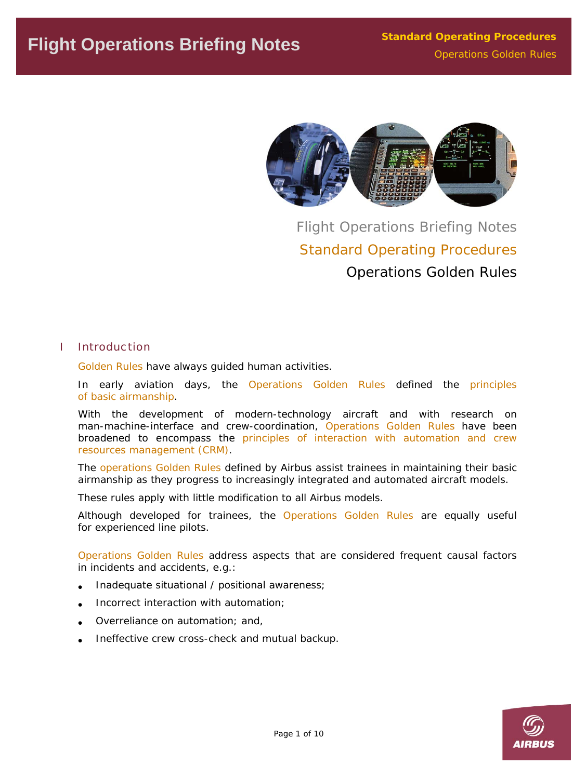

Flight Operations Briefing Notes Standard Operating Procedures Operations Golden Rules

### I Introduction

*Golden Rules* have always guided human activities.

In early aviation days, the *Operations Golden Rules* defined the principles of basic airmanship.

With the development of modern-technology aircraft and with research on man-machine-interface and crew-coordination, *Operations Golden Rules* have been broadened to encompass the principles of interaction with automation and crew resources management (CRM).

The *operations Golden Rules* defined by Airbus assist trainees in maintaining their basic airmanship as they progress to increasingly integrated and automated aircraft models.

These rules apply with little modification to all Airbus models.

Although developed for trainees, the *Operations Golden Rules* are equally useful for experienced line pilots.

*Operations Golden Rules* address aspects that are considered frequent causal factors in incidents and accidents, e.g.:

- Inadequate situational / positional awareness;
- Incorrect interaction with automation;
- Overreliance on automation; and,
- Ineffective crew cross-check and mutual backup.

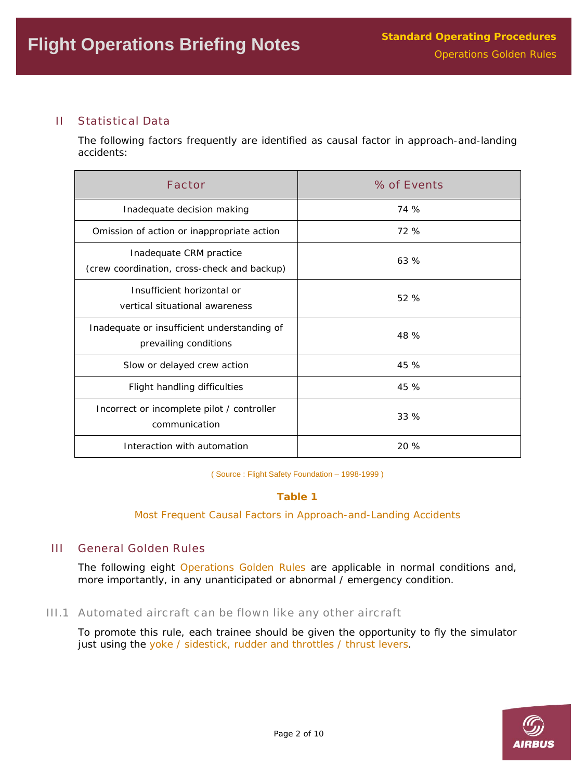## II Statistical Data

The following factors frequently are identified as causal factor in approach-and-landing accidents:

| <b>Factor</b>                                                          | % of Events |
|------------------------------------------------------------------------|-------------|
| Inadequate decision making                                             | 74 %        |
| Omission of action or inappropriate action                             | 72 %        |
| Inadequate CRM practice<br>(crew coordination, cross-check and backup) | 63%         |
| Insufficient horizontal or<br>vertical situational awareness           | 52 %        |
| Inadequate or insufficient understanding of<br>prevailing conditions   | 48 %        |
| Slow or delayed crew action                                            | 45 %        |
| Flight handling difficulties                                           | 45 %        |
| Incorrect or incomplete pilot / controller<br>communication            | 33%         |
| Interaction with automation                                            | 20%         |

( Source : Flight Safety Foundation – 1998-1999 )

## **Table 1**

*Most Frequent Causal Factors in Approach-and-Landing Accidents* 

## III General Golden Rules

The following eight *Operations Golden Rules* are applicable in normal conditions and, more importantly, in any unanticipated or abnormal / emergency condition.

### III.1 Automated aircraft can be flown like any other aircraft

To promote this rule, each trainee should be given the opportunity to fly the simulator just using the yoke / sidestick, rudder and throttles / thrust levers.

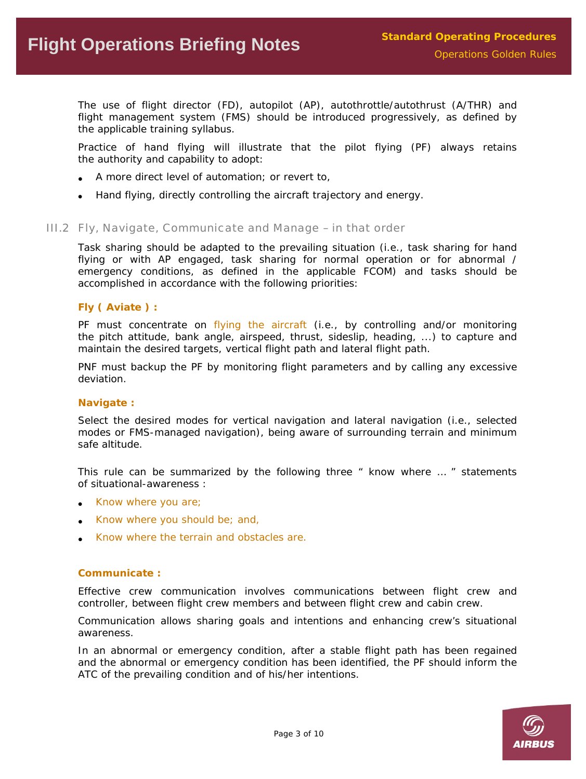The use of flight director (FD), autopilot (AP), autothrottle/autothrust (A/THR) and flight management system (FMS) should be introduced progressively, as defined by the applicable training syllabus.

Practice of hand flying will illustrate that the pilot flying (PF) always retains the authority and capability to adopt:

- A more direct level of automation; or revert to,
- Hand flying, directly controlling the aircraft trajectory and energy.

#### III.2 Fly, Navigate, Communicate and Manage – in that order

Task sharing should be adapted to the prevailing situation (i.e., task sharing for hand flying or with AP engaged, task sharing for normal operation or for abnormal / emergency conditions, as defined in the applicable FCOM) and tasks should be accomplished in accordance with the following priorities:

### **Fly ( Aviate ) :**

PF must concentrate on flying the aircraft (i.e., by controlling and/or monitoring the pitch attitude, bank angle, airspeed, thrust, sideslip, heading, ...) to capture and maintain the desired targets, vertical flight path and lateral flight path.

PNF must backup the PF by monitoring flight parameters and by calling any excessive deviation.

#### **Navigate :**

Select the desired modes for vertical navigation and lateral navigation (i.e., selected modes or FMS-managed navigation), being aware of surrounding terrain and minimum safe altitude.

This rule can be summarized by the following three " know where ... " statements of situational-awareness :

- Know where you are;
- Know where you should be; and,
- Know where the terrain and obstacles are.

#### **Communicate :**

Effective crew communication involves communications between flight crew and controller, between flight crew members and between flight crew and cabin crew.

Communication allows sharing goals and intentions and enhancing crew's situational awareness.

In an abnormal or emergency condition, after a stable flight path has been regained and the abnormal or emergency condition has been identified, the PF should inform the ATC of the prevailing condition and of his/her intentions.

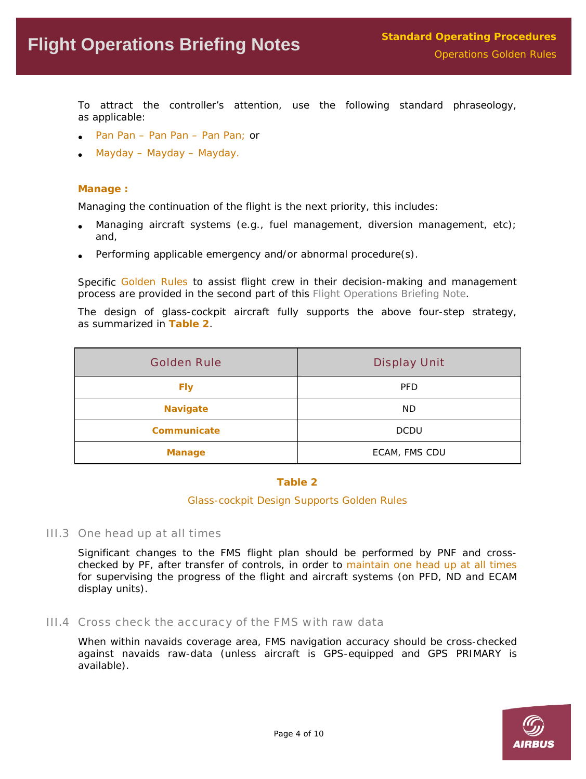To attract the controller's attention, use the following standard phraseology, as applicable:

- Pan Pan Pan Pan Pan Pan; or
- Mayday Mayday Mayday.

#### **Manage :**

Managing the continuation of the flight is the next priority, this includes:

- Managing aircraft systems (e.g., fuel management, diversion management, etc); and,
- Performing applicable emergency and/or abnormal procedure(s).

Specific *Golden Rules* to assist flight crew in their decision-making and management process are provided in the second part of this *Flight Operations Briefing Note*.

The design of glass-cockpit aircraft fully supports the above four-step strategy, as summarized in **Table 2**.

| <b>Golden Rule</b> | <b>Display Unit</b> |
|--------------------|---------------------|
| <b>Fly</b>         | <b>PFD</b>          |
| <b>Navigate</b>    | ND.                 |
| Communicate        | <b>DCDU</b>         |
| <b>Manage</b>      | ECAM, FMS CDU       |

#### **Table 2**

#### *Glass-cockpit Design Supports Golden Rules*

III.3 One head up at all times

Significant changes to the FMS flight plan should be performed by PNF and crosschecked by PF, after transfer of controls, in order to maintain one head up at all times for supervising the progress of the flight and aircraft systems (on PFD, ND and ECAM display units).

III.4 Cross check the accuracy of the FMS with raw data

When within navaids coverage area, FMS navigation accuracy should be cross-checked against navaids raw-data (unless aircraft is GPS-equipped and GPS PRIMARY is available).

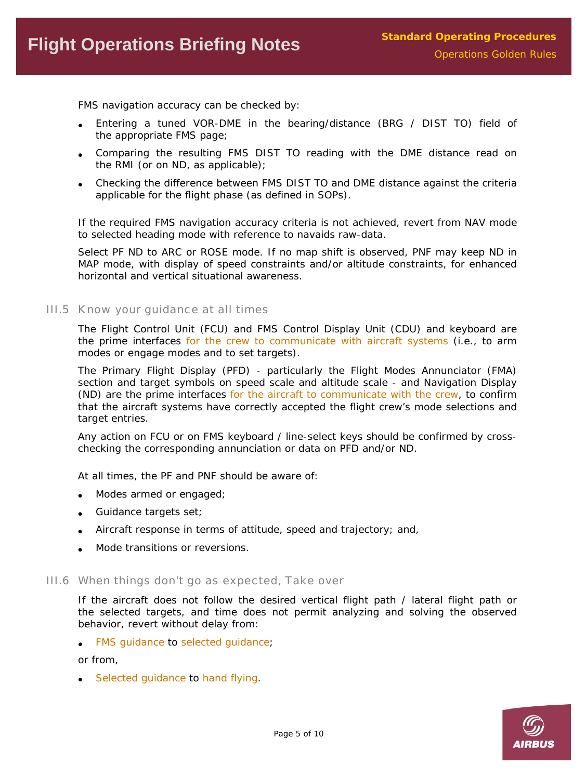FMS navigation accuracy can be checked by:

- Entering a tuned VOR-DME in the bearing/distance (BRG / DIST TO) field of the appropriate FMS page;
- Comparing the resulting FMS DIST TO reading with the DME distance read on the RMI (or on ND, as applicable);
- Checking the difference between FMS DIST TO and DME distance against the criteria applicable for the flight phase (as defined in SOPs).

If the required FMS navigation accuracy criteria is not achieved, revert from NAV mode to selected heading mode with reference to navaids raw-data.

Select PF ND to ARC or ROSE mode. If no map shift is observed, PNF may keep ND in MAP mode, with display of speed constraints and/or altitude constraints, for enhanced horizontal and vertical situational awareness.

III.5 Know your guidance at all times

The Flight Control Unit (FCU) and FMS Control Display Unit (CDU) and keyboard are the prime interfaces for the crew to communicate with aircraft systems (i.e., to arm modes or engage modes and to set targets).

The Primary Flight Display (PFD) - particularly the Flight Modes Annunciator (FMA) section and target symbols on speed scale and altitude scale - and Navigation Display (ND) are the prime interfaces for the aircraft to communicate with the crew, to confirm that the aircraft systems have correctly accepted the flight crew's mode selections and target entries.

Any action on FCU or on FMS keyboard / line-select keys should be confirmed by crosschecking the corresponding annunciation or data on PFD and/or ND.

At all times, the PF and PNF should be aware of:

- Modes armed or engaged;
- Guidance targets set;
- Aircraft response in terms of attitude, speed and trajectory; and,
- Mode transitions or reversions.

#### III.6 When things don't go as expected, Take over

If the aircraft does not follow the desired vertical flight path / lateral flight path or the selected targets, and time does not permit analyzing and solving the observed behavior, revert without delay from:

• FMS guidance to selected guidance;

or from,

• Selected guidance to hand flying.

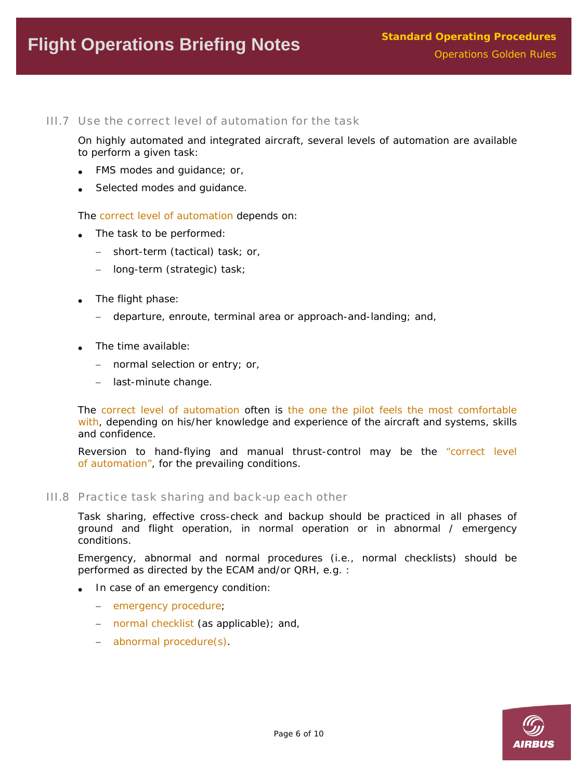#### III.7 Use the correct level of automation for the task

On highly automated and integrated aircraft, several levels of automation are available to perform a given task:

- FMS modes and guidance; or,
- Selected modes and guidance.

The correct level of automation depends on:

- The task to be performed:
	- − short-term (tactical) task; or,
	- − long-term (strategic) task;
- The flight phase:
	- − departure, enroute, terminal area or approach-and-landing; and,
- The time available:
	- − normal selection or entry; or,
	- − last-minute change.

The correct level of automation often is the one the pilot feels the most comfortable with, depending on his/her knowledge and experience of the aircraft and systems, skills and confidence.

Reversion to hand-flying and manual thrust-control may be the "correct level of automation", for the prevailing conditions.

#### III.8 Practice task sharing and back-up each other

Task sharing, effective cross-check and backup should be practiced in all phases of ground and flight operation, in normal operation or in abnormal / emergency conditions.

Emergency, abnormal and normal procedures (i.e., normal checklists) should be performed as directed by the ECAM and/or QRH, e.g. :

- In case of an emergency condition:
	- − emergency procedure;
	- − normal checklist (as applicable); and,
	- − abnormal procedure(s).

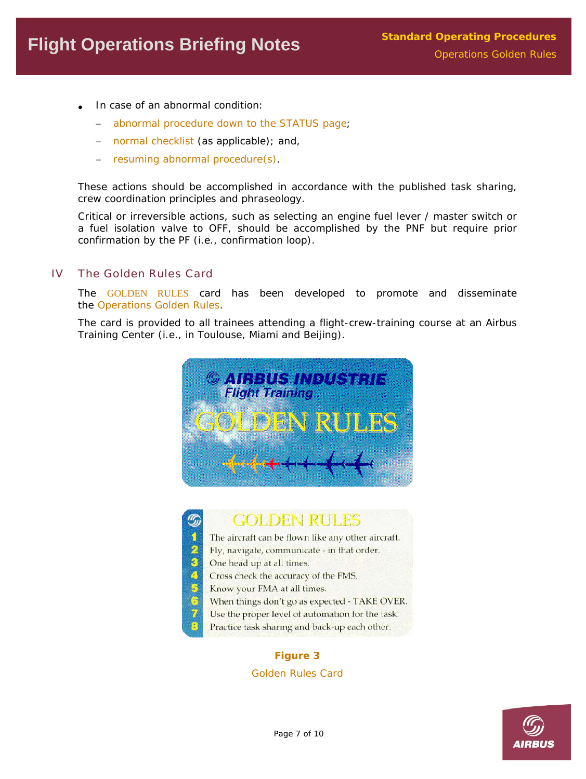- In case of an abnormal condition:
	- − abnormal procedure down to the STATUS page;
	- − normal checklist (as applicable); and,
	- − resuming abnormal procedure(s).

These actions should be accomplished in accordance with the published task sharing, crew coordination principles and phraseology.

Critical or irreversible actions, such as selecting an engine fuel lever / master switch or a fuel isolation valve to OFF, should be accomplished by the PNF but require prior confirmation by the PF (i.e., confirmation loop).

## IV The Golden Rules Card

The GOLDEN RULES card has been developed to promote and disseminate the *Operations Golden Rules*.

The card is provided to all trainees attending a flight-crew-training course at an Airbus Training Center (i.e., in Toulouse, Miami and Beijing).





# **GOLDEN RULES**

- The aircraft can be flown like any other aircraft.
- Fly, navigate, communicate in that order.
- One head up at all times.
- Cross check the accuracy of the FMS.
- Know your FMA at all times.
- When things don't go as expected TAKE OVER.
- Use the proper level of automation for the task.
- Practice task sharing and back-up each other.

## **Figure 3**

*Golden Rules Card* 

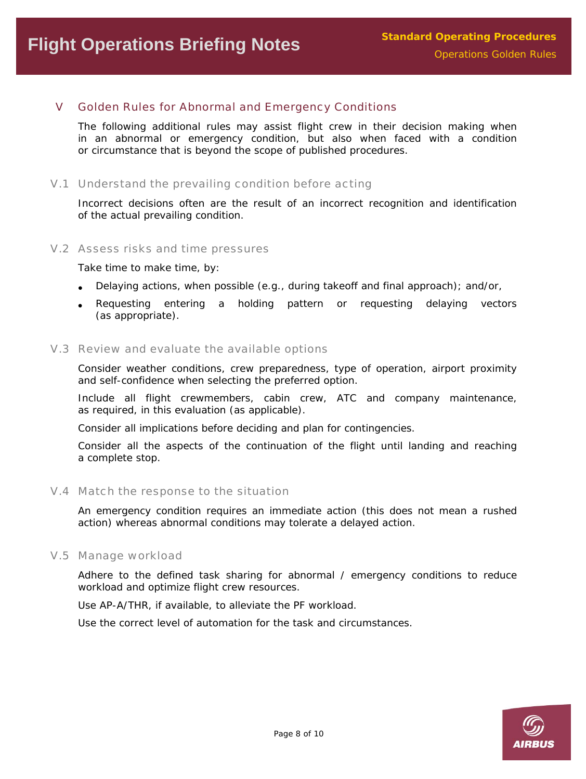## V Golden Rules for Abnormal and Emergency Conditions

The following additional rules may assist flight crew in their decision making when in an abnormal or emergency condition, but also when faced with a condition or circumstance that is beyond the scope of published procedures.

V.1 Understand the prevailing condition before acting

Incorrect decisions often are the result of an incorrect recognition and identification of the actual prevailing condition.

V.2 Assess risks and time pressures

Take time to make time, by:

- Delaying actions, when possible (e.g., during takeoff and final approach); and/or,
- Requesting entering a holding pattern or requesting delaying vectors (as appropriate).

### V.3 Review and evaluate the available options

Consider weather conditions, crew preparedness, type of operation, airport proximity and self-confidence when selecting the preferred option.

Include all flight crewmembers, cabin crew, ATC and company maintenance, as required, in this evaluation (as applicable).

Consider all implications before deciding and plan for contingencies.

Consider all the aspects of the continuation of the flight until landing and reaching a complete stop.

#### V.4 Match the response to the situation

An emergency condition requires an immediate action (this does not mean a rushed action) whereas abnormal conditions may tolerate a delayed action.

V.5 Manage workload

Adhere to the defined task sharing for abnormal / emergency conditions to reduce workload and optimize flight crew resources.

Use AP-A/THR, if available, to alleviate the PF workload.

Use the correct level of automation for the task and circumstances.

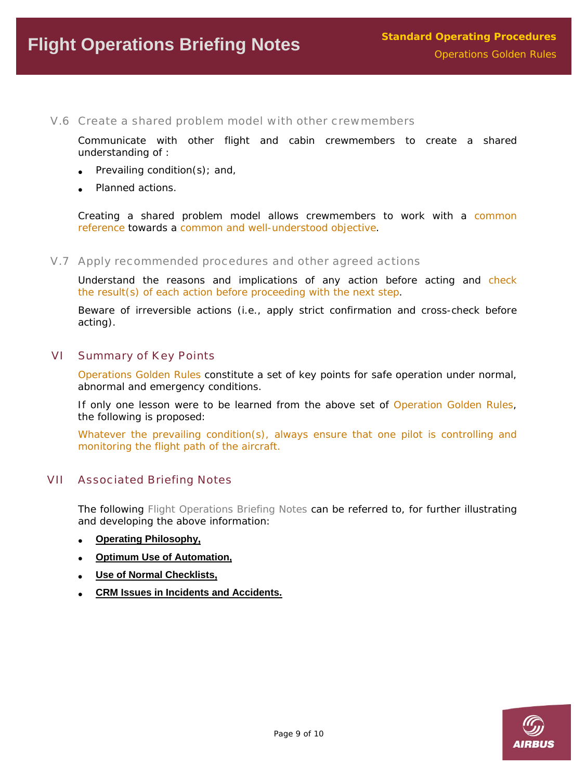V.6 Create a shared problem model with other crewmembers

Communicate with other flight and cabin crewmembers to create a shared understanding of :

- Prevailing condition(s); and,
- Planned actions.

Creating a shared problem model allows crewmembers to work with a common reference towards a common and well-understood objective.

V.7 Apply recommended procedures and other agreed actions

Understand the reasons and implications of any action before acting and check the result(s) of each action before proceeding with the next step.

Beware of irreversible actions (i.e., apply strict confirmation and cross-check before acting).

#### VI Summary of Key Points

*Operations Golden Rules* constitute a set of key points for safe operation under normal, abnormal and emergency conditions.

If only one lesson were to be learned from the above set of *Operation Golden Rules*, the following is proposed:

*Whatever the prevailing condition(s), always ensure that one pilot is controlling and monitoring the flight path of the aircraft.* 

### VII Associated Briefing Notes

The following *Flight Operations Briefing Notes* can be referred to, for further illustrating and developing the above information:

- **[Operating Philosophy,](http://airbus.com/store/mm_repository/safety_library_items/att00003098/FLT_OPS-SOP-SEQ01.pdf)**
- **[Optimum Use of Automation,](http://airbus.com/store/mm_repository/safety_library_items/att00003103/FLT_OPS-SOP-SEQ02.pdf)**
- **[Use of Normal Checklists,](http://airbus.com/store/mm_repository/safety_library_items/att00003107/FLT_OPS-SOP-SEQ05.pdf)**
- **[CRM Issues in Incidents and Accidents.](http://airbus.com/store/mm_repository/safety_library_items/att00003110/FLT_OPS-HUM_PER-SEQ02.pdf)**